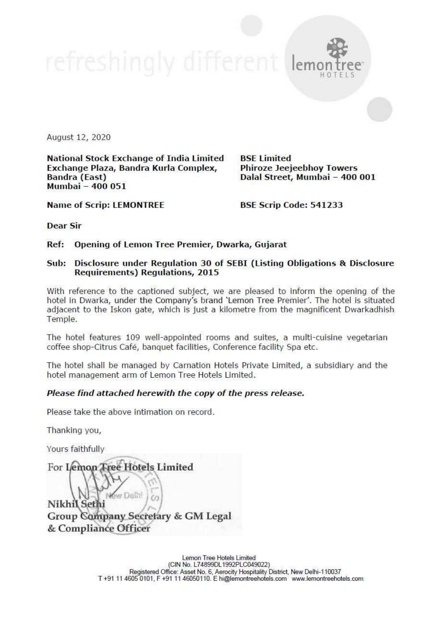refreshingly different leme



HOTELS

August 12, 2020

National Stock Exchange of India Limited \_ BSE Limited Exchange Plaza, Bandra Kurla Complex, Phiroze Jeejeebhoy Towers Bandra (East) Dalal Street, Mumbai - 400 001 Mumbai — 400 051

Name of Scrip: LEMONTREE BSE Scrip Code: 541233

Dear Sir

## Ref: Opening of Lemon Tree Premier, Dwarka, Gujarat

# Sub: Disclosure under Regulation 30 of SEBI (Listing Obligations & Disclosure Requirements) Regulations, 2015

With reference to the captioned subject, we are pleased to inform the opening of the hotel in Dwarka, under the Company's brand 'Lemon Tree Premier'. The hotel is situated adjacent to the Iskon gate, which is just a kilome

The hotel features 109 well-appointed rooms and suites, a multi-cuisine vegetarian coffee shop-Citrus Café, banquet facilities, Conference facility Spa etc.

The hotel shall be managed by Carnation Hotels Private Limited, a subsidiary and the hotel management arm of Lemon Tree Hotels Limited.

#### Please find attached herewith the copy of the press release.

Please take the above intimation on record.

Thanking you,

Yours faithfully

For Lemon Tree Hotels Limited **Now Delhi**  $\sqrt{2}$ Nikhil Sethi **Group Company Secretary & GM Legal** & Compliance Officer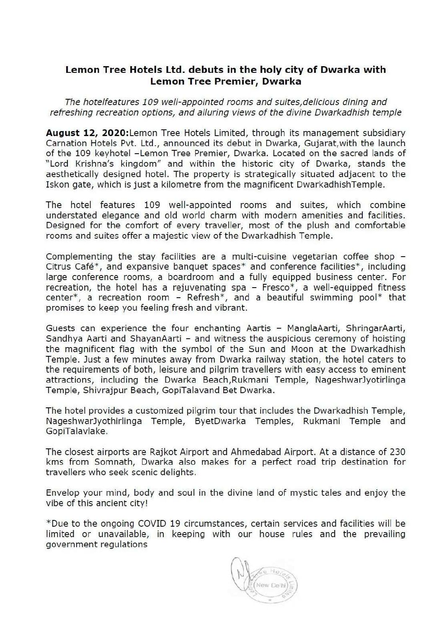# Lemon Tree Hotels Ltd. debuts in the holy city of Dwarka with Lemon Tree Premier, Dwarka

The hotelfeatures 109 well-appointed rooms and suites,delicious dining and refreshing recreation options, and alluring views of the divine Dwarkadhish temple

August 12, 2020: Lemon Tree Hotels Limited, through its management subsidiary Carnation Hotels Pvt. Ltd., announced its debut in Dwarka, Gujarat,with the launch of the 109 keyhotel -Lemon Tree Premier, Dwarka. Located on the sacred lands of "Lord Krishna's kingdom" and within the historic city of Dwarka, stands the aesthetically designed hotel. The property is strategically situated adjacent to the Iskon gate, which is just a kilometre from the magnificent DwarkadhishTemple.

The hotel features 109 well-appointed rooms and suites, which combine understated elegance and old world charm with modern amenities and facilities. Designed for the comfort of every traveller, most of the plush and comfortable rooms and suites offer a majestic view of the Dwarkadhish Temple.

Complementing the stay facilities are a multi-cuisine vegetarian coffee shop - Citrus Café\*, and expansive banquet spaces\* and conference facilities\*, including large conference rooms, a boardroom and a fully equipped business center. For recreation, the hotel has a rejuvenating spa - Fresco\*, a well-equipped fitness center\*, a recreation room - Refresh\*, and a beautiful swimming pool\* that promises to keep you feeling fresh and vibrant.

Guests can experience the four enchanting Aartis - ManglaAarti, ShringarAarti, Sandhya Aarti and ShayanAarti - and witness the auspicious ceremony of hoisting the magnificent flag with the symbol of the Sun and Moon at the Dwarkadhish Temple. Just a few minutes away from Dwarka railway station, the hotel caters to the requirements of both, leisure and pilgrim travellers with easy access to eminent attractions, including the Dwarka Beach,Rukmani Temple, NageshwarJyotirlinga Temple, Shivrajpur Beach, GopiTalavand Bet Dwarka.

The hotel provides a customized pilgrim tour that includes the Dwarkadhish Temple, NageshwarJyothirlinga Temple, ByetDwarka Temples, Rukmani Temple and GopiTalavlake.

The closest airports are Rajkot Airport and Ahmedabad Airport. At a distance of 230 kms from Somnath, Dwarka also makes for a perfect road trip destination for travellers who seek scenic delights.

Envelop your mind, body and soul in the divine land of mystic tales and enjoy the vibe of this ancient city!

\*Due to the ongoing COVID 19 circumstances, certain services and facilities will be limited or unavailable, in keeping with our house rules and the prevailing government regulations